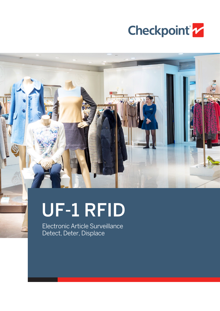

# UF-1 RFID

Electronic Article Surveillance Detect, Deter, Displace